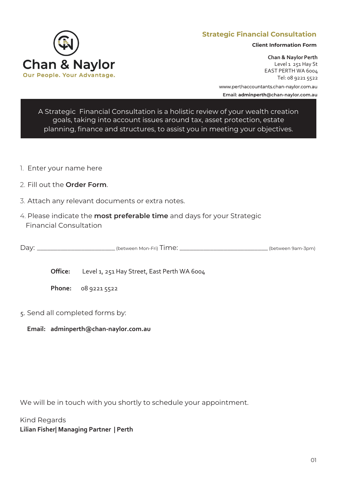

# **Strategic Financial Consultation**

**Client Information Form**

**Chan & Naylor Perth** Level 1 251 Hay St EAST PERTH WA 6004 Tel: 08 9221 5522

www.perthaccountants.[chan-naylor.com.au](https://perthaccountants.chan-naylor.com.au/) **Email: adminperth@chan-naylor.com.au**

[A St](mailto:adminperth@chan-naylor.com.au%E2%80%9CA)rategic Financial Consultation is a holistic review of your wealth creation goals, taking into account issues around tax, asset protection, estate planning, finance and structures, to assist you in meeting your objectives.

- 1. Enter your name here
- 2. Fill out the **Order Form**.
- 3. Attach any relevant documents or extra notes.
- 4. Please indicate the **most preferable time** and days for your Strategic Financial Consultation

Day: \_\_\_\_\_\_\_\_\_\_\_\_\_\_\_\_\_\_\_\_\_\_\_\_\_\_\_(between Mon-Fri) Time: \_\_\_\_\_\_\_\_\_\_\_\_\_\_\_\_\_\_\_\_\_\_\_\_\_\_\_\_\_\_\_(between 9am-3pm)

Office: Level 1, 251 Hay Street, East Perth WA 6004

**Phone:** 08 9221 5522

5. Send all completed forms by:

**Email: adminperth[@chan-naylor.com.au](mailto:adminperth@chan-naylor.com.au)**

We will be in touch with you shortly to schedule your appointment.

Kind Regards **Lilian Fisher| Managing Partner | Perth**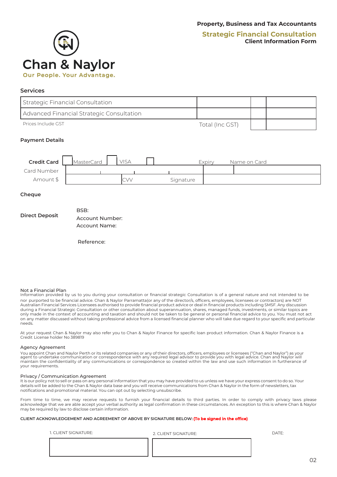# **Strategic Financial Consultation Client Information Form**



### **Services**

| Strategic Financial Consultation          |                 |  |
|-------------------------------------------|-----------------|--|
| Advanced Financial Strategic Consultation |                 |  |
| Prices Include GST                        | Total (Inc GST) |  |

#### **Payment Details**



#### **Cheque**

|                       | BSB:            |
|-----------------------|-----------------|
| <b>Direct Deposit</b> | Account Number: |
|                       | Account Name:   |

Reference:

#### Not a Financial Plan

Information provided by us to you during your consultation or financial strategic Consultation is of a general nature and not intended to be nor purported to be financial advice. Chan & Naylor Parramatta(or any of the director/s, officers, employees, licensees or contractors) are NOT Australian Financial Services Licensees authorised to provide financial product advice or deal in financial products including SMSF. Any discussion during a Financial Strategic Consultation or other consultation about superannuation, shares, managed funds, investments, or similar topics are only made in the context of accounting and taxation and should not be taken to be general or personal financial advice to you. You must not act on any matter discussed without taking professional advice from a licensed financial planner who will take due regard to your specific and particular needs.

At your request Chan & Naylor may also refer you to Chan & Naylor Finance for specific loan product information. Chan & Naylor Finance is a Credit License holder No 389819

#### Agency Agreement

You appoint Chan and Naylor Perth or its related companies or any of their directors, officers, employees or licensees ("Chan and Naylor") as your<br>agent to undertake communication or correspondence with any required legal maintain the confidentiality of any communications or correspondence so created within the law and use such information in furtherance of your requirements.

#### Privacy / Communication Agreement

It is our policy not to sell or pass on any personal information that you may have provided to us unless we have your express consent to do so. Your details will be added to the Chan & Naylor data base and you will receive communications from Chan & Naylor in the form of newsletters, tax notifications and promotional material. You can opt out by selecting unsubscribe.

From time to time, we may receive requests to furnish your financial details to third parties. In order to comply with privacy laws please acknowledge that we are able accept your verbal authority as legal confirmation in these circumstances. An exception to this is where Chan & Naylor may be required by law to disclose certain information.

#### **CLIENT ACKNOWLEDGEMENT AND AGREEMENT OF ABOVE BY SIGNATURE BELOW: (To be signed in the office)**

| 1. CLIENT SIGNATURE: |
|----------------------|
|----------------------|

1. CLIENT SIGNATURE: 2. CLIENT SIGNATURE: DATE: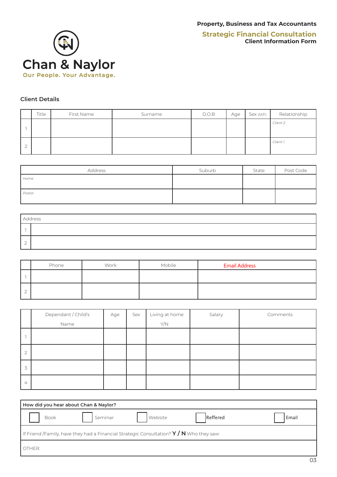

### **Client Details**

|   | Title | First Name | Surname | D.O.B | Age | Sex(M/F) | Relationship |
|---|-------|------------|---------|-------|-----|----------|--------------|
|   |       |            |         |       |     |          | Client 2     |
| ∸ |       |            |         |       |     |          | Client 1     |

| Address | Suburb | State | Post Code |
|---------|--------|-------|-----------|
| Home    |        |       |           |
| Postal  |        |       |           |

| Address |  |  |  |  |  |  |  |
|---------|--|--|--|--|--|--|--|
|         |  |  |  |  |  |  |  |
| -<br>∸  |  |  |  |  |  |  |  |

| Phone | Work | Mobile | <b>Email Address</b> |
|-------|------|--------|----------------------|
|       |      |        |                      |
|       |      |        |                      |

|                                       | Dependant / Child's | Age | Sex | Living at home | Salary | Comments |
|---------------------------------------|---------------------|-----|-----|----------------|--------|----------|
|                                       | Name                |     |     | Y/N            |        |          |
|                                       |                     |     |     |                |        |          |
| $\bigcap$<br>$\overline{\phantom{a}}$ |                     |     |     |                |        |          |
| 3                                     |                     |     |     |                |        |          |
| 4                                     |                     |     |     |                |        |          |

| How did you hear about Chan & Naylor?                                                    |         |         |          |       |  |  |  |  |  |  |
|------------------------------------------------------------------------------------------|---------|---------|----------|-------|--|--|--|--|--|--|
| <b>Book</b>                                                                              | Seminar | Website | Reffered | Email |  |  |  |  |  |  |
| If Friend /Family, have they had a Financial Strategic Consultation? $Y/N$ Who they saw: |         |         |          |       |  |  |  |  |  |  |
| OTHER:                                                                                   |         |         |          |       |  |  |  |  |  |  |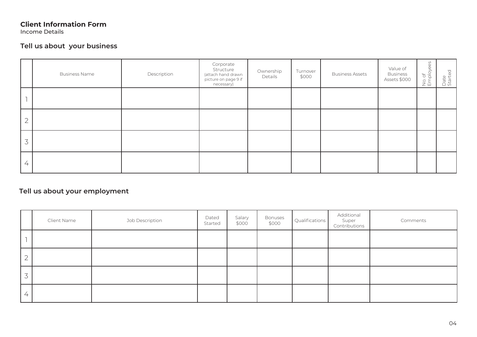Income Details

# **Tell us about your business**

|                | <b>Business Name</b> | Description | Corporate<br>Structure<br>(attach hand drawn<br>picture on page 9 if<br>necessary) | Ownership<br>Details | Turnover<br>\$000 | <b>Business Assets</b> | Value of<br><b>Business</b><br>Assets \$000 | $\mathbb{S}^{\mathbb{C}}$<br>(1)<br>No. of<br>Employe | Date<br>Started |
|----------------|----------------------|-------------|------------------------------------------------------------------------------------|----------------------|-------------------|------------------------|---------------------------------------------|-------------------------------------------------------|-----------------|
|                |                      |             |                                                                                    |                      |                   |                        |                                             |                                                       |                 |
| $\mathbf{2}$   |                      |             |                                                                                    |                      |                   |                        |                                             |                                                       |                 |
| 3              |                      |             |                                                                                    |                      |                   |                        |                                             |                                                       |                 |
| $\overline{4}$ |                      |             |                                                                                    |                      |                   |                        |                                             |                                                       |                 |

# **Tell us about your employment**

|                | Client Name | Job Description | Dated<br>Started | Salary<br>\$000 | Bonuses<br>\$000 | Qualifications | Additional<br>Super<br>Contributions | Comments |
|----------------|-------------|-----------------|------------------|-----------------|------------------|----------------|--------------------------------------|----------|
|                |             |                 |                  |                 |                  |                |                                      |          |
| $\overline{2}$ |             |                 |                  |                 |                  |                |                                      |          |
| 3              |             |                 |                  |                 |                  |                |                                      |          |
| $\leftarrow$   |             |                 |                  |                 |                  |                |                                      |          |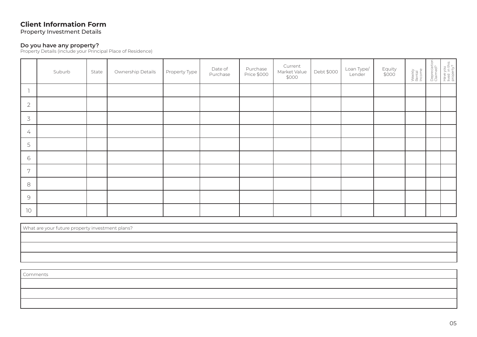Property Investment Details

#### **Do you have any property?**

Property Details (include your Principal Place of Residence)

|                | Suburb | State | Ownership Details | Property Type | Date of<br>Purchase | Purchase<br>Price \$000 | Current<br>Market Value<br>\$000 | Debt \$000 | Loan Type/<br>Lender | Equity<br>\$000 | Weekly<br>Rental<br>Income | Depreciation<br>Claimed? | Have you<br>lived in this<br>property? |
|----------------|--------|-------|-------------------|---------------|---------------------|-------------------------|----------------------------------|------------|----------------------|-----------------|----------------------------|--------------------------|----------------------------------------|
|                |        |       |                   |               |                     |                         |                                  |            |                      |                 |                            |                          |                                        |
| $\overline{2}$ |        |       |                   |               |                     |                         |                                  |            |                      |                 |                            |                          |                                        |
| $\mathcal{Z}$  |        |       |                   |               |                     |                         |                                  |            |                      |                 |                            |                          |                                        |
| 4              |        |       |                   |               |                     |                         |                                  |            |                      |                 |                            |                          |                                        |
| 5              |        |       |                   |               |                     |                         |                                  |            |                      |                 |                            |                          |                                        |
| 6              |        |       |                   |               |                     |                         |                                  |            |                      |                 |                            |                          |                                        |
| 7              |        |       |                   |               |                     |                         |                                  |            |                      |                 |                            |                          |                                        |
| 8              |        |       |                   |               |                     |                         |                                  |            |                      |                 |                            |                          |                                        |
| $\mathcal{Q}$  |        |       |                   |               |                     |                         |                                  |            |                      |                 |                            |                          |                                        |
| 10             |        |       |                   |               |                     |                         |                                  |            |                      |                 |                            |                          |                                        |

| What are your future property investment plans? |  |  |  |  |  |
|-------------------------------------------------|--|--|--|--|--|
|                                                 |  |  |  |  |  |
|                                                 |  |  |  |  |  |
|                                                 |  |  |  |  |  |

Comments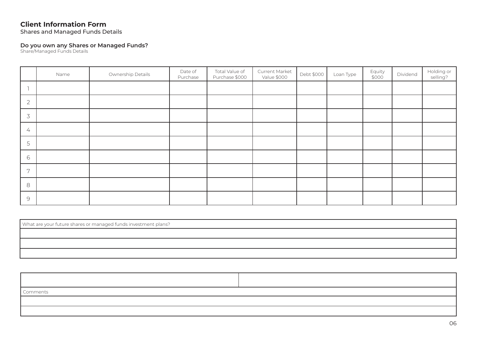Shares and Managed Funds Details

#### **Do you own any Shares or Managed Funds?**

Share/Managed Funds Details

|                | Name | Ownership Details | Date of<br>Purchase | Total Value of<br>Purchase \$000 | Current Market<br>Value \$000 | Debt \$000 | Loan Type | Equity<br>\$000 | Dividend | Holding or<br>selling? |
|----------------|------|-------------------|---------------------|----------------------------------|-------------------------------|------------|-----------|-----------------|----------|------------------------|
|                |      |                   |                     |                                  |                               |            |           |                 |          |                        |
| $\overline{2}$ |      |                   |                     |                                  |                               |            |           |                 |          |                        |
| $\overline{3}$ |      |                   |                     |                                  |                               |            |           |                 |          |                        |
| 4              |      |                   |                     |                                  |                               |            |           |                 |          |                        |
| 5              |      |                   |                     |                                  |                               |            |           |                 |          |                        |
| 6              |      |                   |                     |                                  |                               |            |           |                 |          |                        |
| 7              |      |                   |                     |                                  |                               |            |           |                 |          |                        |
| 8              |      |                   |                     |                                  |                               |            |           |                 |          |                        |
| $\mathcal{Q}$  |      |                   |                     |                                  |                               |            |           |                 |          |                        |

| What are your future shares or managed funds investment plans? |  |  |  |  |  |
|----------------------------------------------------------------|--|--|--|--|--|
|                                                                |  |  |  |  |  |
|                                                                |  |  |  |  |  |
|                                                                |  |  |  |  |  |

| <b>Comments</b> |  |
|-----------------|--|
|                 |  |
|                 |  |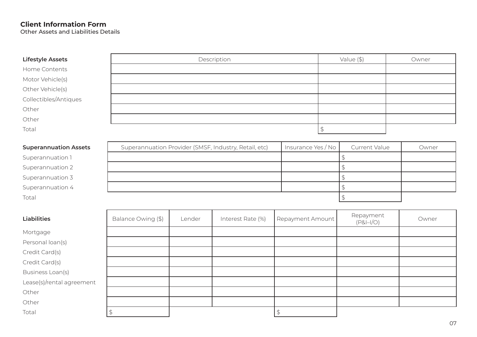Other Assets and Liabilities Details

| <b>Lifestyle Assets</b> | Description | $\sqrt{2}$<br>value | Owner |
|-------------------------|-------------|---------------------|-------|
| Home Contents           |             |                     |       |

Motor Vehicle(s)

Other Vehicle(s)

Collectibles/Antiques

Other

Other

Total

### **Superannuation Assets**

| Superannuation 1 |  |
|------------------|--|
|------------------|--|

Superannuation 4  $\uparrow$ 

Total $\sim$  1.0  $\pm$  2.0  $\pm$  3.0  $\pm$  3.0  $\pm$  3.0  $\pm$  3.0  $\pm$  3.0  $\pm$  3.0  $\pm$  3.0  $\pm$  3.0  $\pm$  3.0  $\pm$  3.0  $\pm$  3.0  $\pm$  3.0  $\pm$  3.0  $\pm$  3.0  $\pm$  3.0  $\pm$  3.0  $\pm$  3.0  $\pm$  3.0  $\pm$  3.0  $\pm$  3.0  $\pm$  3.0  $\pm$  3.0  $\pm$ 

| Other                        |                                                       |                    |                      |       |
|------------------------------|-------------------------------------------------------|--------------------|----------------------|-------|
| Other                        |                                                       |                    |                      |       |
| Total                        |                                                       |                    |                      |       |
| <b>Superannuation Assets</b> | Superannuation Provider (SMSF, Industry, Retail, etc) | Insurance Yes / No | <b>Current Value</b> | Owner |
| Superannuation 1             |                                                       |                    |                      |       |
| Superannuation 2             |                                                       |                    |                      |       |
| Superannuation 3             |                                                       |                    |                      |       |

| <b>Liabilities</b>        | Balance Owing (\$) | Lender | Interest Rate (%) | Repayment Amount | Repayment<br>$(P&I-I/O)$ | Owner |
|---------------------------|--------------------|--------|-------------------|------------------|--------------------------|-------|
| Mortgage                  |                    |        |                   |                  |                          |       |
| Personal loan(s)          |                    |        |                   |                  |                          |       |
| Credit Card(s)            |                    |        |                   |                  |                          |       |
| Credit Card(s)            |                    |        |                   |                  |                          |       |
| Business Loan(s)          |                    |        |                   |                  |                          |       |
| Lease(s)/rental agreement |                    |        |                   |                  |                          |       |
| Other                     |                    |        |                   |                  |                          |       |
| Other                     |                    |        |                   |                  |                          |       |
| Total                     |                    |        |                   |                  |                          |       |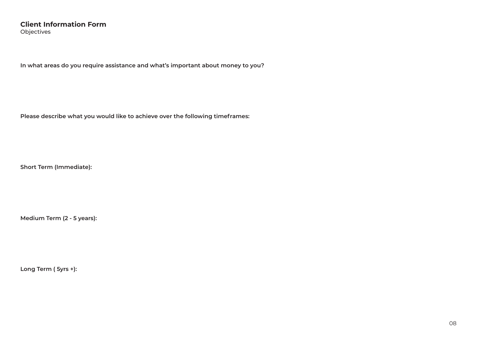### **Client Information Form** Objectives

**In what areas do you require assistance and what's important about money to you?**

**Please describe what you would like to achieve over the following timeframes:**

**Short Term (Immediate):**

**Medium Term (2 - 5 years):**

**Long Term ( 5yrs +):**